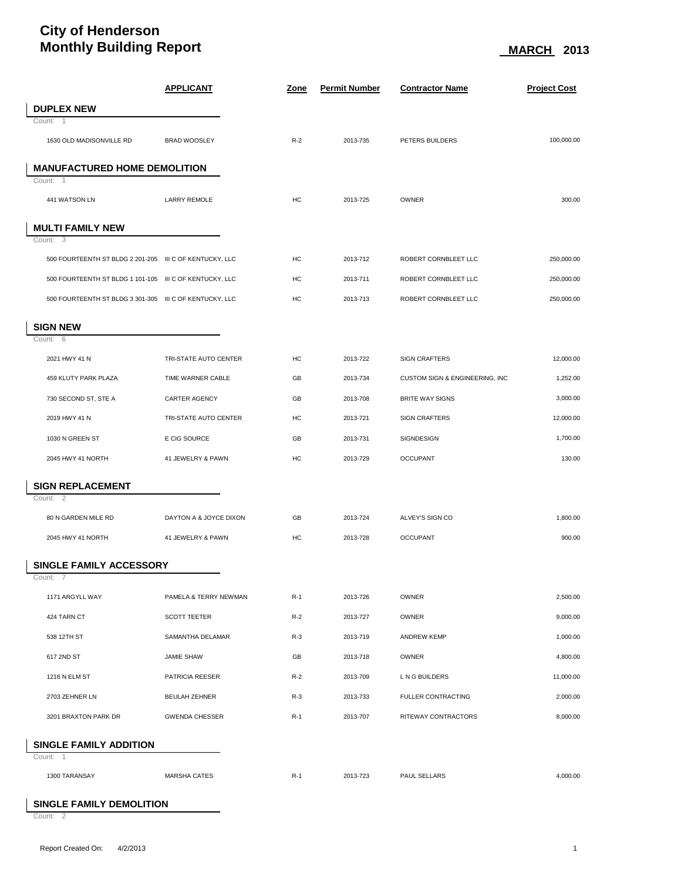## **City of Henderson Monthly Building Report** Monthly Building Report

|                                                         | <b>APPLICANT</b>       | <u>Zone</u> | <b>Permit Number</b> | <b>Contractor Name</b>         | <b>Project Cost</b> |  |  |  |
|---------------------------------------------------------|------------------------|-------------|----------------------|--------------------------------|---------------------|--|--|--|
| <b>DUPLEX NEW</b>                                       |                        |             |                      |                                |                     |  |  |  |
| Count: $\overline{1}$                                   |                        |             |                      |                                |                     |  |  |  |
| 1630 OLD MADISONVILLE RD                                | <b>BRAD WOOSLEY</b>    | $R-2$       | 2013-735             | PETERS BUILDERS                | 100,000.00          |  |  |  |
| <b>MANUFACTURED HOME DEMOLITION</b><br>Count: 1         |                        |             |                      |                                |                     |  |  |  |
| 441 WATSON LN                                           | <b>LARRY REMOLE</b>    | HC          | 2013-725             | OWNER                          | 300.00              |  |  |  |
|                                                         |                        |             |                      |                                |                     |  |  |  |
| <b>MULTI FAMILY NEW</b>                                 |                        |             |                      |                                |                     |  |  |  |
| Count: 3                                                |                        |             |                      |                                |                     |  |  |  |
| 500 FOURTEENTH ST BLDG 2 201-205 III C OF KENTUCKY, LLC |                        | HC          | 2013-712             | ROBERT CORNBLEET LLC           | 250,000.00          |  |  |  |
| 500 FOURTEENTH ST BLDG 1 101-105 III C OF KENTUCKY, LLC |                        | HC          | 2013-711             | ROBERT CORNBLEET LLC           | 250,000.00          |  |  |  |
| 500 FOURTEENTH ST BLDG 3 301-305 III C OF KENTUCKY, LLC |                        | HC          | 2013-713             | ROBERT CORNBLEET LLC           | 250,000.00          |  |  |  |
| <b>SIGN NEW</b>                                         |                        |             |                      |                                |                     |  |  |  |
| Count: 6                                                |                        |             |                      |                                |                     |  |  |  |
| 2021 HWY 41 N                                           | TRI-STATE AUTO CENTER  | HC          | 2013-722             | <b>SIGN CRAFTERS</b>           | 12,000.00           |  |  |  |
| 459 KLUTY PARK PLAZA                                    | TIME WARNER CABLE      | GB          | 2013-734             | CUSTOM SIGN & ENGINEERING, INC | 1,252.00            |  |  |  |
| 730 SECOND ST, STE A                                    | CARTER AGENCY          | GB          | 2013-708             | <b>BRITE WAY SIGNS</b>         | 3,000.00            |  |  |  |
| 2019 HWY 41 N                                           | TRI-STATE AUTO CENTER  | HC          | 2013-721             | <b>SIGN CRAFTERS</b>           | 12,000.00           |  |  |  |
| 1030 N GREEN ST                                         | E CIG SOURCE           | GB          | 2013-731             | SIGNDESIGN                     | 1,700.00            |  |  |  |
| 2045 HWY 41 NORTH                                       | 41 JEWELRY & PAWN      | HC          | 2013-729             | <b>OCCUPANT</b>                | 130.00              |  |  |  |
| <b>SIGN REPLACEMENT</b>                                 |                        |             |                      |                                |                     |  |  |  |
| Count: 2                                                |                        |             |                      |                                |                     |  |  |  |
| 80 N GARDEN MILE RD                                     | DAYTON A & JOYCE DIXON | GB          | 2013-724             | ALVEY'S SIGN CO                | 1,800.00            |  |  |  |
| 2045 HWY 41 NORTH                                       | 41 JEWELRY & PAWN      | HC          | 2013-728             | <b>OCCUPANT</b>                | 900.00              |  |  |  |
| <b>SINGLE FAMILY ACCESSORY</b>                          |                        |             |                      |                                |                     |  |  |  |
| Count: 7                                                |                        |             |                      |                                |                     |  |  |  |
| 1171 ARGYLL WAY                                         | PAMELA & TERRY NEWMAN  | $R-1$       | 2013-726             | OWNER                          | 2,500.00            |  |  |  |
| 424 TARN CT                                             | <b>SCOTT TEETER</b>    | $R-2$       | 2013-727             | OWNER                          | 9,000.00            |  |  |  |
| 538 12TH ST                                             | SAMANTHA DELAMAR       | $R-3$       | 2013-719             | ANDREW KEMP                    | 1,000.00            |  |  |  |
| 617 2ND ST                                              | JAMIE SHAW             | GB          | 2013-718             | OWNER                          | 4,800.00            |  |  |  |
| 1216 N ELM ST                                           | PATRICIA REESER        | $R-2$       | 2013-709             | L N G BUILDERS                 | 11,000.00           |  |  |  |
| 2703 ZEHNER LN                                          | <b>BEULAH ZEHNER</b>   | $R-3$       | 2013-733             | FULLER CONTRACTING             | 2,000.00            |  |  |  |
| 3201 BRAXTON PARK DR                                    | <b>GWENDA CHESSER</b>  | $R-1$       | 2013-707             | RITEWAY CONTRACTORS            | 8,000.00            |  |  |  |
|                                                         |                        |             |                      |                                |                     |  |  |  |
| <b>SINGLE FAMILY ADDITION</b><br>Count: 1               |                        |             |                      |                                |                     |  |  |  |
| 1300 TARANSAY                                           | <b>MARSHA CATES</b>    | $R-1$       | 2013-723             | PAUL SELLARS                   | 4,000.00            |  |  |  |
|                                                         |                        |             |                      |                                |                     |  |  |  |

## **SINGLE FAMILY DEMOLITION**

Count: 2